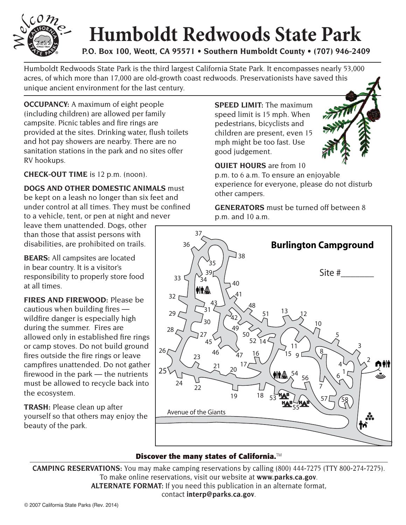

## **Humboldt Redwoods State Park**

**P.O. Box 100, Weott, CA 95571 • Southern Humboldt County • (707) 946-2409**

Humboldt Redwoods State Park is the third largest California State Park. It encompasses nearly 53,000 acres, of which more than 17,000 are old-growth coast redwoods. Preservationists have saved this unique ancient environment for the last century.

**OCCUPANCY:** A maximum of eight people (including children) are allowed per family campsite. Picnic tables and fire rings are provided at the sites. Drinking water, flush toilets and hot pay showers are nearby. There are no sanitation stations in the park and no sites offer RV hookups.

## **CHECK-OUT TIME** is 12 p.m. (noon).

**DOGS AND OTHER DOMESTIC ANIMALS** must be kept on a leash no longer than six feet and under control at all times. They must be confined to a vehicle, tent, or pen at night and never

leave them unattended. Dogs, other than those that assist persons with disabilities, are prohibited on trails.

**BEARS:** All campsites are located in bear country. It is a visitor's responsibility to properly store food at all times.

**FIRES AND FIREWOOD:** Please be cautious when building fires wildfire danger is especially high during the summer. Fires are allowed only in established fire rings or camp stoves. Do not build ground fires outside the fire rings or leave campfires unattended. Do not gather firewood in the park — the nutrients must be allowed to recycle back into the ecosystem.

**TRASH:** Please clean up after yourself so that others may enjoy the beauty of the park.

**SPEED LIMIT:** The maximum speed limit is 15 mph. When pedestrians, bicyclists and children are present, even 15 mph might be too fast. Use good judgement.



**QUIET HOURS** are from 10 p.m. to 6 a.m. To ensure an enjoyable experience for everyone, please do not disturb other campers.

**GENERATORS** must be turned off between 8 p.m. and 10 a.m.



## **Discover the many states of California.**™

**CAMPING RESERVATIONS:** You may make camping reservations by calling (800) 444-7275 (TTY 800-274-7275). To make online reservations, visit our website at **www.parks.ca.gov**. **ALTERNATE FORMAT:** If you need this publication in an alternate format, contact **interp@parks.ca.gov**.